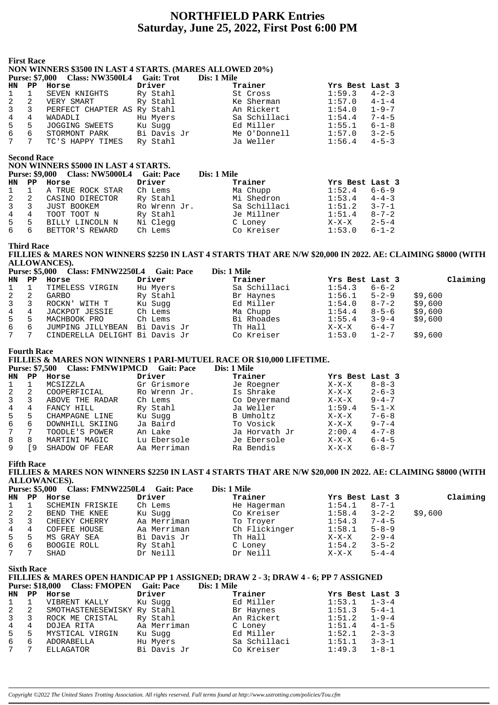# **NORTHFIELD PARK Entries Saturday, June 25, 2022, First Post 6:00 PM**

### **First Race NON WINNERS \$3500 IN LAST 4 STARTS. (MARES ALLOWED 20%) Purse: \$7,000 Class: NW3500L4 Gait: Trot Dis: 1 Mile HN PP Horse Driver Trainer Yrs Best Last 3** 1 1 SEVEN KNIGHTS Ry Stahl St Cross 1:59.3 4-2-3 2 2 VERY SMART Ry Stahl Ke Sherman 1:57.0 4-1-4 3 3 PERFECT CHAPTER AS Ry Stahl An Rickert 1:54.0 1-9-7 4 4 WADADLI Hu Myers Sa Schillaci 1:54.4 7-4-5 5 5 JOGGING SWEETS Ku Sugg Ed Miller 1:55.1 6-1-8 6 6 STORMONT PARK Bi Davis Jr Me O'Donnell 1:57.0 3-2-5 7 7 TC'S HAPPY TIMES Ry Stahl Ja Weller 1:56.4 4-5-3 **Second Race NON WINNERS \$5000 IN LAST 4 STARTS. Purse: \$9,000 Class: NW5000L4 Gait: Pace Dis: 1 Mile HN PP Horse Driver Trainer Yrs Best Last 3**<br>
1 1 A TRUE ROCK STAR Ch Lems Ma Chupp 1:52.4 6-6-9 1 1 A TRUE ROCK STAR Ch Lems Ma Chupp 1:52.4 6-6-9 2 2 CASINO DIRECTOR Ry Stahl Mi Shedron 1:53.4 4-4-3 3 3 JUST BOOKEM Ro Wrenn Jr. Sa Schillaci 1:51.2 3-7-1 4 4 TOOT TOOT N Ry Stahl Je Millner 1:51.4 8-7-2 5 5 BILLY LINCOLN N Ni Clegg C Loney X-X-X 2-5-4 6 6 BETTOR'S REWARD Ch Lems Co Kreiser 1:53.0 6-1-2 **Third Race FILLIES & MARES NON WINNERS \$2250 IN LAST 4 STARTS THAT ARE N/W \$20,000 IN 2022. AE: CLAIMING \$8000 (WITH ALLOWANCES**).<br>Purse: \$5,000 Clo **Purse: \$5,000 Class: FMNW2250L4 Gait: Pace Dis: 1 Mile**

|              |                | <b>FUISE:</b> 55,000 Class: FININ WZZ50L4 Gall: Face |             | DIS, I VIIIE |                  |             |          |
|--------------|----------------|------------------------------------------------------|-------------|--------------|------------------|-------------|----------|
|              |                | HN PP Horse                                          | Driver      | Trainer      | Yrs Best Last 3  |             | Claiming |
| $1 \quad 1$  |                | TIMELESS VIRGIN                                      | Hu Myers    | Sa Schillaci | 1:54.3           | 6-6-2       |          |
| $\mathbf{2}$ | -2             | GARBO                                                | Ry Stahl    | Br Haynes    | $1:56.1$ $5-2-9$ |             | \$9,600  |
| $3 \quad 3$  |                | ROCKN' WITH T                                        | Ku Sugg     | Ed Miller    | 1:54.0           | $8 - 7 - 2$ | \$9,600  |
| 4 4          |                | JACKPOT JESSIE                                       | Ch Lems     | Ma Chupp     | 1:54.4           | $8 - 5 - 6$ | \$9,600  |
| $5 -$        | -5             | MACHBOOK PRO                                         | Ch Lems     | Bi Rhoades   | 1:55.4           | $3 - 9 - 4$ | \$9,600  |
| 6            | - 6            | JUMPING JILLYBEAN                                    | Bi Davis Jr | Th Hall      | X-X-X            | $6 - 4 - 7$ |          |
| 7            | $\overline{7}$ | CINDERELLA DELIGHT Bi Davis Jr                       |             | Co Kreiser   | 1:53.0           | $1 - 2 - 7$ | \$9,600  |

#### **Fourth Race**

#### **FILLIES & MARES NON WINNERS 1 PARI-MUTUEL RACE OR \$10,000 LIFETIME.**

**Purse: \$7,500 Class: FMNW1PMCD Gait: Pace Dis: 1 Mile**

| HN | PP | Horse           | Driver       | Trainer       | Yrs Best Last 3 |             |
|----|----|-----------------|--------------|---------------|-----------------|-------------|
|    |    | MCSIZZLA        | Gr Grismore  | Je Roegner    | $X-X-X$         | $8 - 8 - 3$ |
|    | 2  | COOPERFICIAL    | Ro Wrenn Jr. | Is Shrake     | $X-X-X$         | $2 - 6 - 3$ |
| 3  | 3  | ABOVE THE RADAR | Ch Lems      | Co Deyermand  | $X-X-X$         | $9 - 4 - 7$ |
| 4  | 4  | FANCY HILL      | Ry Stahl     | Ja Weller     | 1:59.4          | $5 - 1 - X$ |
| 5  | 5  | CHAMPAGNE LINE  | Ku Sugg      | B Umholtz     | $X-X-X$         | $7 - 6 - 8$ |
| ნ. | 6  | DOWNHILL SKIING | Ja Baird     | To Vosick     | $X-X-X$         | $9 - 7 - 4$ |
| 7  | 7  | TOODLE'S POWER  | An Lake      | Ja Horvath Jr | 2:00.4          | $4 - 7 - 8$ |
| 8  | 8  | MARTINI MAGIC   | Lu Ebersole  | Je Ebersole   | $X-X-X$         | $6 - 4 - 5$ |
| 9  | -9 | SHADOW OF FEAR  | Aa Merriman  | Ra Bendis     | $X-X-X$         | $6 - 8 - 7$ |

**Fifth Race**

**FILLIES & MARES NON WINNERS \$2250 IN LAST 4 STARTS THAT ARE N/W \$20,000 IN 2022. AE: CLAIMING \$8000 (WITH ALLOWANCES**). **Purse: \$5,000 Class: FMNW2250L4 Gait: Pace Dis: 1 Mile**

|                |                | Purse: 35,000 Class: FININ WZZ50L4 Gall: Pace |             | DIS: 1 MILLE  |                 |             |          |
|----------------|----------------|-----------------------------------------------|-------------|---------------|-----------------|-------------|----------|
| HN PP          |                | Horse                                         | Driver      | Trainer       | Yrs Best Last 3 |             | Claiming |
|                |                | SCHEMIN FRISKIE                               | Ch Lems     | He Hagerman   | 1:54.1          | $8 - 7 - 1$ |          |
| 2              | $\overline{2}$ | BEND THE KNEE                                 | Ku Sugg     | Co Kreiser    | 1:58.4          | $3 - 2 - 2$ | \$9,600  |
| $\overline{3}$ | -3             | CHEEKY CHERRY                                 | Aa Merriman | To Troyer     | 1:54.3          | $7 - 4 - 5$ |          |
| 4 4            |                | COFFEE HOUSE                                  | Aa Merriman | Ch Flickinger | 1:58.1          | $5 - 8 - 9$ |          |
| 5 5            |                | MS GRAY SEA                                   | Bi Davis Jr | Th Hall       | $X-X-X$         | $2 - 9 - 4$ |          |
| 6              | - 6            | BOOGIE ROLL                                   | Ry Stahl    | C Loney       | 1:54.2          | $3 - 5 - 2$ |          |
| 7              |                | SHAD                                          | Dr Neill    | Dr Neill      | $X-X-X$         | $5 - 4 - 4$ |          |

**Sixth Race**

## **FILLIES & MARES OPEN HANDICAP PP 1 ASSIGNED; DRAW 2 - 3; DRAW 4 - 6; PP 7 ASSIGNED Purse: \$18,000 Class: FMOPEN Gait: Pace Dis: 1 Mile**

| HN             | PP | Horse                       | Driver      | Trainer      | Yrs Best Last 3 |             |
|----------------|----|-----------------------------|-------------|--------------|-----------------|-------------|
| $\mathbf{1}$   |    | VIBRENT KALLY               | Ku Sugg     | Ed Miller    | 1:53.1          | $1 - 3 - 4$ |
| $2 \quad 2$    |    | SMOTHASTENESEWISKY Ry Stahl |             | Br Haynes    | 1:51.3          | $5 - 4 - 1$ |
| $\mathbf{3}$   |    | ROCK ME CRISTAL             | Ry Stahl    | An Rickert   | 1:51.2          | $1 - 9 - 4$ |
| $\overline{4}$ | 4  | DOJEA RITA                  | Aa Merriman | C Loney      | 1:51.4          | $4 - 1 - 5$ |
| $5 -$          |    | MYSTICAL VIRGIN             | Ku Suqq     | Ed Miller    | 1:52.1          | $2 - 3 - 3$ |
| 6              | 6  | ADORABELLA                  | Hu Myers    | Sa Schillaci | 1:51.1          | $3 - 3 - 1$ |
| 7 7            |    | ELLAGATOR                   | Bi Davis Jr | Co Kreiser   | 1:49.3          | $1 - 8 - 1$ |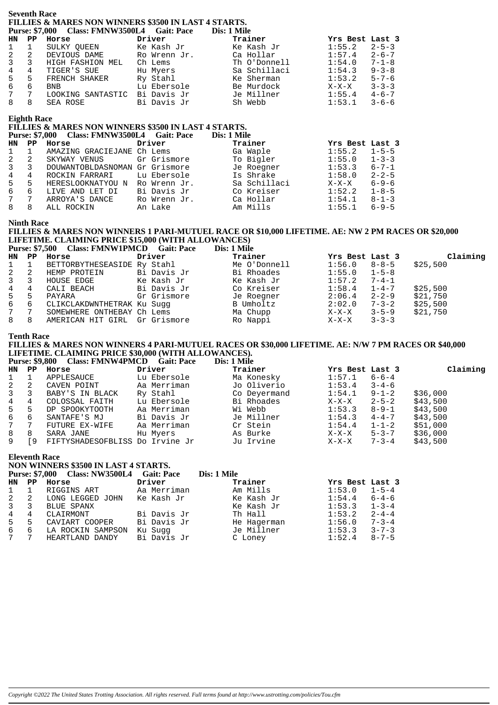#### **Seventh Race FILLIES & MARES NON WINNERS \$3500 IN LAST 4 STARTS. Purse: \$7,000 Class: FMNW3500L4 Gait: Pace Dis: 1 Mile**

|                |   | <b>FUISE:</b> 57,000 Class: FIVIIV WOOUL 4 GAIL: FACE |              | різ: і ічше  |                        |
|----------------|---|-------------------------------------------------------|--------------|--------------|------------------------|
| HN PP          |   | Horse                                                 | Driver       | Trainer      | Yrs Best Last 3        |
| $1 \quad 1$    |   | SULKY OUEEN                                           | Ke Kash Jr   | Ke Kash Jr   | 1:55.2<br>$2 - 5 - 3$  |
| $\mathbf{2}$   | 2 | DEVIOUS DAME                                          | Ro Wrenn Jr. | Ca Hollar    | 1:57.4<br>$2 - 6 - 7$  |
| $3^{\circ}$    | 3 | HIGH FASHION MEL                                      | Ch Lems      | Th O'Donnell | 1:54.0<br>$7 - 1 - 8$  |
| 4              | 4 | TIGER'S SUE                                           | Hu Myers     | Sa Schillaci | $9 - 3 - 8$<br>1:54.3  |
| 5              | 5 | FRENCH SHAKER                                         | Ry Stahl     | Ke Sherman   | $5 - 7 - 6$<br>1:53.2  |
| 6              | 6 | <b>BNB</b>                                            | Lu Ebersole  | Be Murdock   | $3 - 3 - 3$<br>$X-X-X$ |
| 7 <sup>7</sup> | 7 | LOOKING SANTASTIC                                     | Bi Davis Jr  | Je Millner   | $4 - 6 - 7$<br>1:55.4  |
| 8              | 8 | SEA ROSE                                              | Bi Davis Jr  | Sh Webb      | 1:53.1<br>$3 - 6 - 6$  |
|                |   |                                                       |              |              |                        |

#### **Eighth Race**

## **FILLIES & MARES NON WINNERS \$3500 IN LAST 4 STARTS.**

|                 | <b>Purse: \$7,000</b> | Class: FMNW3500L4 Gait: Pace   |              | Dis: 1 Mile  |                        |
|-----------------|-----------------------|--------------------------------|--------------|--------------|------------------------|
| HN.             | PP                    | Horse                          | Driver       | Trainer      | Yrs Best Last 3        |
| $\mathbf{1}$    |                       | AMAZING GRACIEJANE Ch Lems     |              | Ga Waple     | 1:55.2<br>$1 - 5 - 5$  |
| 2               | -2                    | SKYWAY VENUS                   | Gr Grismore  | To Bigler    | 1:55.0<br>$1 - 3 - 3$  |
| $\mathbf{3}$    | 3                     | DOUWANTOBLDASNOMAN Gr Grismore |              | Je Roegner   | 1:53.3<br>$6 - 7 - 1$  |
| 4               | 4                     | ROCKIN FARRARI                 | Lu Ebersole  | Is Shrake    | 1:58.0<br>$2 - 2 - 5$  |
| 5               | 5                     | HERESLOOKNATYOU N              | Ro Wrenn Jr. | Sa Schillaci | $6 - 9 - 6$<br>$X-X-X$ |
| 6               | 6                     | LIVE AND LET DI                | Bi Davis Jr  | Co Kreiser   | 1:52.2<br>$1 - 8 - 5$  |
| $7\overline{ }$ | 7                     | ARROYA'S DANCE                 | Ro Wrenn Jr. | Ca Hollar    | 1:54.1<br>$8 - 1 - 3$  |
| 8               | 8                     | ALL ROCKIN                     | An Lake      | Am Mills     | $6 - 9 - 5$<br>1:55.1  |

#### **Ninth Race**

# **FILLIES & MARES NON WINNERS 1 PARI-MUTUEL RACE OR \$10,000 LIFETIME. AE: NW 2 PM RACES OR \$20,000 LIFETIME. CLAIMING PRICE \$15,000 (WITH ALLOWANCES)**

**Purse: \$7,500 Class: FMNW1PMCD Gait: Pace** 

|                  |                 | HN PP Horse                   | Driver      | Trainer      | Yrs Best Last 3  |             | Claiming |
|------------------|-----------------|-------------------------------|-------------|--------------|------------------|-------------|----------|
|                  | $1 \quad 1$     | BETTORBYTHESEASIDE Ry Stahl   |             | Me O'Donnell | $1:56.0$ $8-8-5$ |             | \$25,500 |
| $2 \quad 2$      |                 | HEMP PROTEIN                  | Bi Davis Jr | Bi Rhoades   | $1:55.0$ $1-5-8$ |             |          |
| $3 \overline{3}$ |                 | HOUSE EDGE                    | Ke Kash Jr  | Ke Kash Jr   | $1:57.2$ $7-4-1$ |             |          |
| $\overline{4}$   | $\overline{4}$  | CALI BEACH                    | Bi Davis Jr | Co Kreiser   | $1:58.4$ $1-4-7$ |             | \$25,500 |
| 5 5              |                 | PAYARA                        | Gr Grismore | Je Roegner   | 2:06.4           | $2 - 2 - 9$ | \$21,750 |
| 6 6              |                 | CLIKCLAKDWNTHETRAK Ku Suqq    |             | B Umholtz    | 2:02.0           | $7 - 3 - 2$ | \$25,500 |
| 7                | $7\overline{ }$ | SOMEWHERE ONTHEBAY Ch Lems    |             | Ma Chupp     | $X-X-X$          | $3 - 5 - 9$ | \$21,750 |
| 8 8              |                 | AMERICAN HIT GIRL Gr Grismore |             | Ro Nappi     | $X-X-X$          | $3 - 3 - 3$ |          |
|                  |                 |                               |             |              |                  |             |          |

#### **Tenth Race**

## **FILLIES & MARES NON WINNERS 4 PARI-MUTUEL RACES OR \$30,000 LIFETIME. AE: N/W 7 PM RACES OR \$40,000 LIFETIME. CLAIMING PRICE \$30,000 (WITH ALLOWANCES).**

**Purse: \$9,800 Class: FMNW4PMCD Gait: Pace Dis: 1 Mile**

|                |       | <u> CAMPUS - ATALITIC DO COMAND MUUT</u> |             |              |                  |                         |
|----------------|-------|------------------------------------------|-------------|--------------|------------------|-------------------------|
|                | HN PP | Horse                                    | Driver      | Trainer      | Yrs Best Last 3  | Claiming                |
| 1              |       | APPLESAUCE                               | Lu Ebersole | Ma Konesky   | 1:57.1           | $6 - 6 - 4$             |
| $\mathbf{2}$   | -2    | CAVEN POINT                              | Aa Merriman | Jo Oliverio  | 1:53.4           | $3 - 4 - 6$             |
| $3 \quad 3$    |       | BABY'S IN BLACK                          | Ry Stahl    | Co Deyermand | $1:54.1$ $9-1-2$ | \$36,000                |
| $\overline{4}$ | 4     | COLOSSAL FAITH                           | Lu Ebersole | Bi Rhoades   | $X-X-X$          | \$43,500<br>$2 - 5 - 2$ |
| $5 -$          | -5    | DP SPOOKYTOOTH                           | Aa Merriman | Wi Webb      | 1:53.3           | \$43,500<br>8-9-1       |
| 6              | -6    | SANTAFE'S MJ                             | Bi Davis Jr | Je Millner   | 1:54.3           | \$43,500<br>$4 - 4 - 7$ |
| 7              |       | FUTURE EX-WIFE                           | Aa Merriman | Cr Stein     | 1:54.4           | $1 - 1 - 2$<br>\$51,000 |
| 8              | 8     | SARA JANE                                | Hu Myers    | As Burke     | $X-X-X$          | \$36,000<br>$5 - 3 - 7$ |
| 9              | r 9   | FIFTYSHADESOFBLISS Do Irvine Jr          |             | Ju Irvine    | $X-X-X$          | \$43,500<br>$7 - 3 - 4$ |

## **Eleventh Race**

**NON WINNERS \$3500 IN LAST 4 STARTS.**

|             |    | Purse: \$7,000 Class: NW3500L4 Gait: Pace |             | Dis: 1 Mile |                 |             |
|-------------|----|-------------------------------------------|-------------|-------------|-----------------|-------------|
| HN.         | PP | Horse                                     | Driver      | Trainer     | Yrs Best Last 3 |             |
| $1 \quad 1$ |    | RIGGINS ART                               | Aa Merriman | Am Mills    | 1:53.0          | $1 - 5 - 4$ |
| 2 2         |    | LONG LEGGED JOHN                          | Ke Kash Jr  | Ke Kash Jr  | 1:54.4          | $6 - 4 - 6$ |
| $3 \quad 3$ |    | BLUE SPANX                                |             | Ke Kash Jr  | 1:53.3          | $1 - 3 - 4$ |
| 4           | 4  | CLAIRMONT                                 | Bi Davis Jr | Th Hall     | 1:53.2          | $2 - 4 - 4$ |
| $5 -$       | 5  | CAVIART COOPER                            | Bi Davis Jr | He Hagerman | 1:56.0          | $7 - 3 - 4$ |
| 6           | 6  | LA ROCKIN SAMPSON                         | Ku Suqq     | Je Millner  | 1:53.3          | $3 - 7 - 3$ |
| 7           |    | HEARTLAND DANDY                           | Bi Davis Jr | C Loney     | 1:52.4          | $8 - 7 - 5$ |